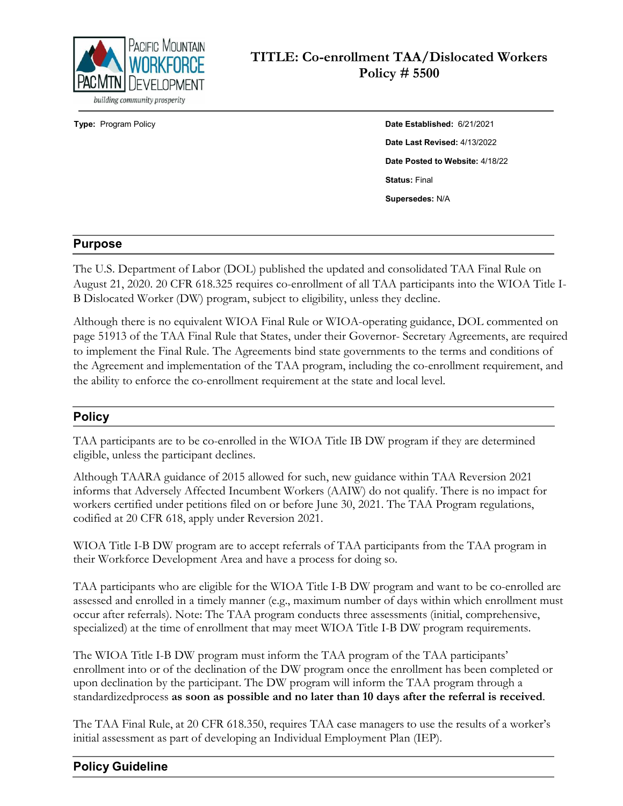

**Type:** Program Policy **Date Established:** 6/21/2021 **Date Last Revised:** 4/13/2022 **Date Posted to Website:** 4/18/22 **Status:** Final **Supersedes:** N/A

# **Purpose**

The U.S. Department of Labor (DOL) published the updated and consolidated TAA Final Rule on August 21, 2020. 20 CFR 618.325 requires co-enrollment of all TAA participants into the WIOA Title I-B Dislocated Worker (DW) program, subject to eligibility, unless they decline.

Although there is no equivalent WIOA Final Rule or WIOA-operating guidance, DOL commented on page 51913 of the TAA Final Rule that States, under their Governor- Secretary Agreements, are required to implement the Final Rule. The Agreements bind state governments to the terms and conditions of the Agreement and implementation of the TAA program, including the co-enrollment requirement, and the ability to enforce the co-enrollment requirement at the state and local level.

# **Policy**

TAA participants are to be co-enrolled in the WIOA Title IB DW program if they are determined eligible, unless the participant declines.

Although TAARA guidance of 2015 allowed for such, new guidance within TAA Reversion 2021 informs that Adversely Affected Incumbent Workers (AAIW) do not qualify. There is no impact for workers certified under petitions filed on or before June 30, 2021. The TAA Program regulations, codified at 20 CFR 618, apply under Reversion 2021.

WIOA Title I-B DW program are to accept referrals of TAA participants from the TAA program in their Workforce Development Area and have a process for doing so.

TAA participants who are eligible for the WIOA Title I-B DW program and want to be co-enrolled are assessed and enrolled in a timely manner (e.g., maximum number of days within which enrollment must occur after referrals). Note: The TAA program conducts three assessments (initial, comprehensive, specialized) at the time of enrollment that may meet WIOA Title I-B DW program requirements.

The WIOA Title I-B DW program must inform the TAA program of the TAA participants' enrollment into or of the declination of the DW program once the enrollment has been completed or upon declination by the participant. The DW program will inform the TAA program through a standardizedprocess **as soon as possible and no later than 10 days after the referral is received**.

The TAA Final Rule, at 20 CFR 618.350, requires TAA case managers to use the results of a worker's initial assessment as part of developing an Individual Employment Plan (IEP).

# **Policy Guideline**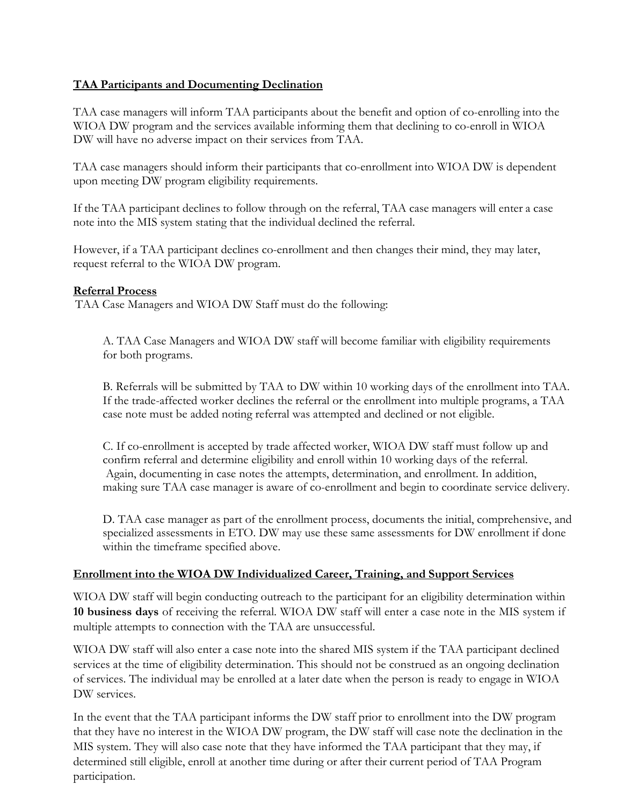### **TAA Participants and Documenting Declination**

TAA case managers will inform TAA participants about the benefit and option of co-enrolling into the WIOA DW program and the services available informing them that declining to co-enroll in WIOA DW will have no adverse impact on their services from TAA.

TAA case managers should inform their participants that co-enrollment into WIOA DW is dependent upon meeting DW program eligibility requirements.

If the TAA participant declines to follow through on the referral, TAA case managers will enter a case note into the MIS system stating that the individual declined the referral.

However, if a TAA participant declines co-enrollment and then changes their mind, they may later, request referral to the WIOA DW program.

#### **Referral Process**

TAA Case Managers and WIOA DW Staff must do the following:

A. TAA Case Managers and WIOA DW staff will become familiar with eligibility requirements for both programs.

 B. Referrals will be submitted by TAA to DW within 10 working days of the enrollment into TAA. If the trade-affected worker declines the referral or the enrollment into multiple programs, a TAA case note must be added noting referral was attempted and declined or not eligible.

C. If co-enrollment is accepted by trade affected worker, WIOA DW staff must follow up and confirm referral and determine eligibility and enroll within 10 working days of the referral. Again, documenting in case notes the attempts, determination, and enrollment. In addition, making sure TAA case manager is aware of co-enrollment and begin to coordinate service delivery.

D. TAA case manager as part of the enrollment process, documents the initial, comprehensive, and specialized assessments in ETO. DW may use these same assessments for DW enrollment if done within the timeframe specified above.

#### **Enrollment into the WIOA DW Individualized Career, Training, and Support Services**

WIOA DW staff will begin conducting outreach to the participant for an eligibility determination within **10 business days** of receiving the referral. WIOA DW staff will enter a case note in the MIS system if multiple attempts to connection with the TAA are unsuccessful.

WIOA DW staff will also enter a case note into the shared MIS system if the TAA participant declined services at the time of eligibility determination. This should not be construed as an ongoing declination of services. The individual may be enrolled at a later date when the person is ready to engage in WIOA DW services.

In the event that the TAA participant informs the DW staff prior to enrollment into the DW program that they have no interest in the WIOA DW program, the DW staff will case note the declination in the MIS system. They will also case note that they have informed the TAA participant that they may, if determined still eligible, enroll at another time during or after their current period of TAA Program participation.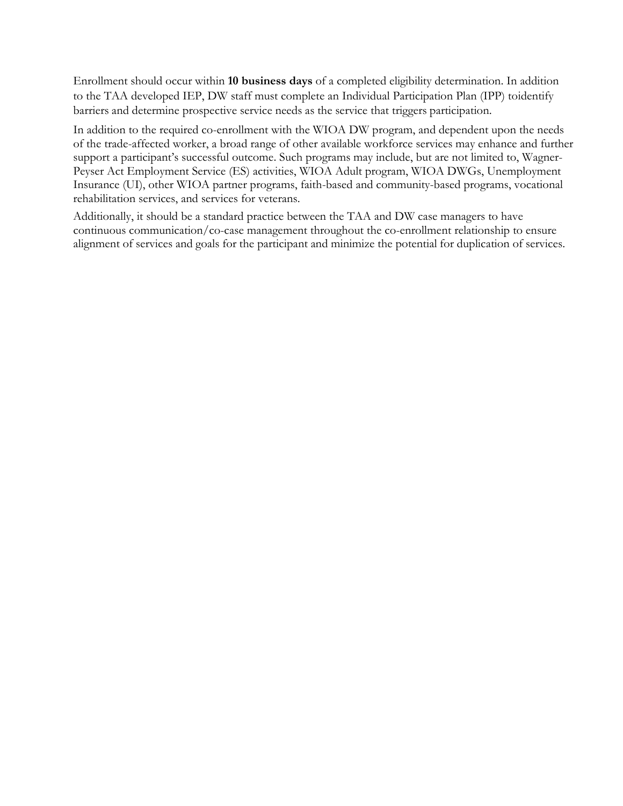Enrollment should occur within **10 business days** of a completed eligibility determination. In addition to the TAA developed IEP, DW staff must complete an Individual Participation Plan (IPP) toidentify barriers and determine prospective service needs as the service that triggers participation.

In addition to the required co-enrollment with the WIOA DW program, and dependent upon the needs of the trade-affected worker, a broad range of other available workforce services may enhance and further support a participant's successful outcome. Such programs may include, but are not limited to, Wagner-Peyser Act Employment Service (ES) activities, WIOA Adult program, WIOA DWGs, Unemployment Insurance (UI), other WIOA partner programs, faith-based and community-based programs, vocational rehabilitation services, and services for veterans.

Additionally, it should be a standard practice between the TAA and DW case managers to have continuous communication/co-case management throughout the co-enrollment relationship to ensure alignment of services and goals for the participant and minimize the potential for duplication of services.